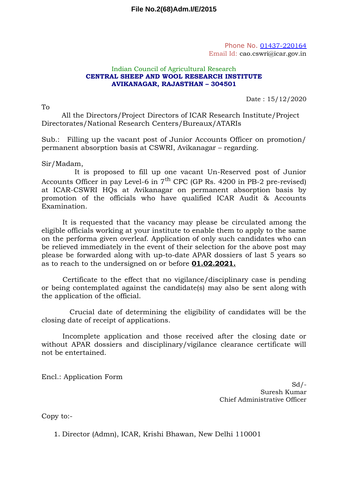Phone No. 01437-220164 Email Id: cao.cswri@icar.gov.in

## Indian Council of Agricultural Research **CENTRAL SHEEP AND WOOL RESEARCH INSTITUTE AVIKANAGAR, RAJASTHAN – 304501**

 $T_{\Omega}$ 

Date : 15/12/2020

All the Directors/Project Directors of ICAR Research Institute/Project Directorates/National Research Centers/Bureaux/ATARIs

Sub.: Filling up the vacant post of Junior Accounts Officer on promotion/ permanent absorption basis at CSWRI, Avikanagar – regarding.

Sir/Madam,

It is proposed to fill up one vacant Un-Reserved post of Junior Accounts Officer in pay Level-6 in  $7<sup>th</sup>$  CPC (GP Rs. 4200 in PB-2 pre-revised) at ICAR-CSWRI HQs at Avikanagar on permanent absorption basis by promotion of the officials who have qualified ICAR Audit & Accounts Examination.

It is requested that the vacancy may please be circulated among the eligible officials working at your institute to enable them to apply to the same on the performa given overleaf. Application of only such candidates who can be relieved immediately in the event of their selection for the above post may please be forwarded along with up-to-date APAR dossiers of last 5 years so as to reach to the undersigned on or before **01.02.2021.**

Certificate to the effect that no vigilance/disciplinary case is pending or being contemplated against the candidate(s) may also be sent along with the application of the official.

Crucial date of determining the eligibility of candidates will be the closing date of receipt of applications.

Incomplete application and those received after the closing date or without APAR dossiers and disciplinary/vigilance clearance certificate will not be entertained.

Encl.: Application Form

 $Sd$  /-Suresh Kumar Chief Administrative Officer

Copy to:-

1. Director (Admn), ICAR, Krishi Bhawan, New Delhi 110001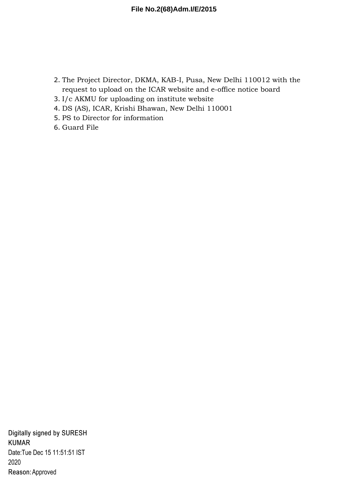- 2. The Project Director, DKMA, KAB-I, Pusa, New Delhi 110012 with the request to upload on the ICAR website and e-office notice board
- 3. I/c AKMU for uploading on institute website
- 4. DS (AS), ICAR, Krishi Bhawan, New Delhi 110001
- 5. PS to Director for information
- 6. Guard File

Digitally signed by SURESH **KUMAR** Date: Tue Dec 15 11:51:51 IST 2020 Reason: Approved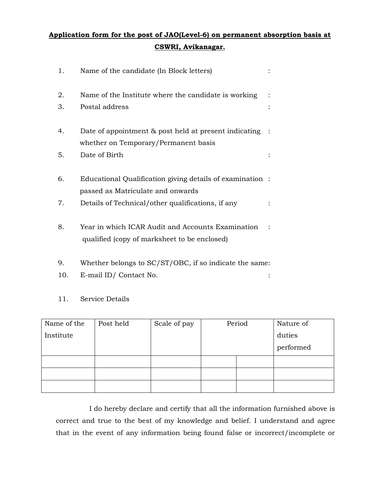## **Application form for the post of JAO(Level-6) on permanent absorption basis at CSWRI, Avikanagar.**

| 1. | Name of the candidate (In Block letters)                                                          |  |
|----|---------------------------------------------------------------------------------------------------|--|
| 2. | Name of the Institute where the candidate is working                                              |  |
| 3. | Postal address                                                                                    |  |
| 4. | Date of appointment & post held at present indicating                                             |  |
|    | whether on Temporary/Permanent basis                                                              |  |
| 5. | Date of Birth                                                                                     |  |
| 6. | Educational Qualification giving details of examination :                                         |  |
|    | passed as Matriculate and onwards                                                                 |  |
| 7. | Details of Technical/other qualifications, if any                                                 |  |
| 8. | Year in which ICAR Audit and Accounts Examination<br>qualified (copy of marksheet to be enclosed) |  |

- 9. Whether belongs to SC/ST/OBC, if so indicate the same:
- 10. E-mail ID/ Contact No. :
- 11. Service Details

| Name of the | Post held | Scale of pay | Period |  | Nature of |
|-------------|-----------|--------------|--------|--|-----------|
| Institute   |           |              |        |  | duties    |
|             |           |              |        |  | performed |
|             |           |              |        |  |           |
|             |           |              |        |  |           |
|             |           |              |        |  |           |

I do hereby declare and certify that all the information furnished above is correct and true to the best of my knowledge and belief. I understand and agree that in the event of any information being found false or incorrect/incomplete or